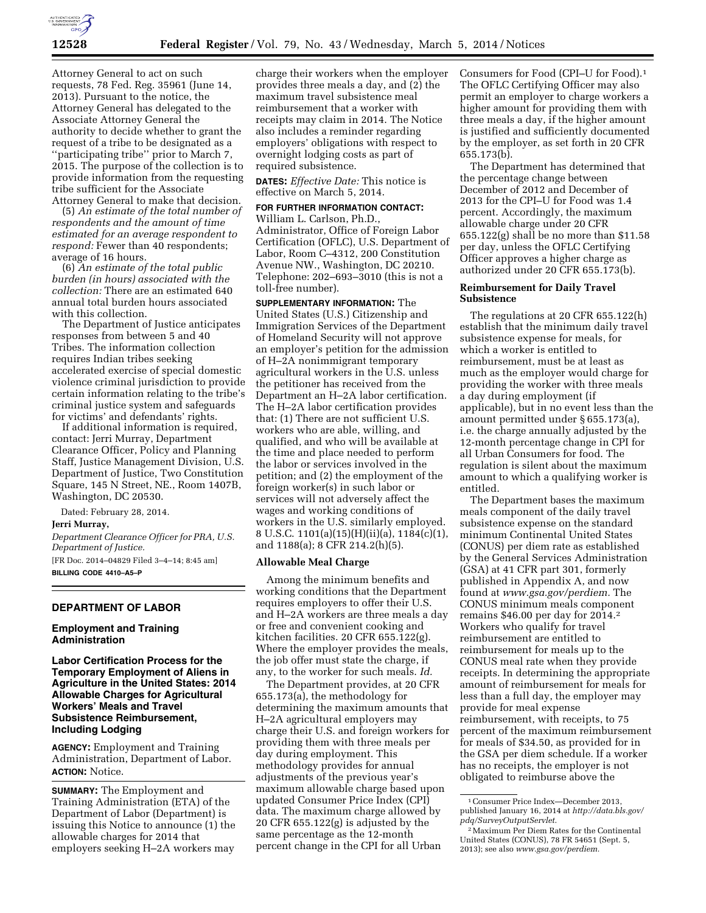

Attorney General to act on such requests, 78 Fed. Reg. 35961 (June 14, 2013). Pursuant to the notice, the Attorney General has delegated to the Associate Attorney General the authority to decide whether to grant the request of a tribe to be designated as a ''participating tribe'' prior to March 7, 2015. The purpose of the collection is to provide information from the requesting tribe sufficient for the Associate Attorney General to make that decision.

(5) *An estimate of the total number of respondents and the amount of time estimated for an average respondent to respond:* Fewer than 40 respondents; average of 16 hours.

(6) *An estimate of the total public burden (in hours) associated with the collection:* There are an estimated 640 annual total burden hours associated with this collection.

The Department of Justice anticipates responses from between 5 and 40 Tribes. The information collection requires Indian tribes seeking accelerated exercise of special domestic violence criminal jurisdiction to provide certain information relating to the tribe's criminal justice system and safeguards for victims' and defendants' rights.

If additional information is required, contact: Jerri Murray, Department Clearance Officer, Policy and Planning Staff, Justice Management Division, U.S. Department of Justice, Two Constitution Square, 145 N Street, NE., Room 1407B, Washington, DC 20530.

Dated: February 28, 2014.

## **Jerri Murray,**

*Department Clearance Officer for PRA, U.S. Department of Justice.*  [FR Doc. 2014–04829 Filed 3–4–14; 8:45 am] **BILLING CODE 4410–A5–P** 

## **DEPARTMENT OF LABOR**

## **Employment and Training Administration**

**Labor Certification Process for the Temporary Employment of Aliens in Agriculture in the United States: 2014 Allowable Charges for Agricultural Workers' Meals and Travel Subsistence Reimbursement, Including Lodging** 

**AGENCY:** Employment and Training Administration, Department of Labor. **ACTION:** Notice.

**SUMMARY:** The Employment and Training Administration (ETA) of the Department of Labor (Department) is issuing this Notice to announce (1) the allowable charges for 2014 that employers seeking H–2A workers may

charge their workers when the employer provides three meals a day, and (2) the maximum travel subsistence meal reimbursement that a worker with receipts may claim in 2014. The Notice also includes a reminder regarding employers' obligations with respect to overnight lodging costs as part of required subsistence.

**DATES:** *Effective Date:* This notice is effective on March 5, 2014.

**FOR FURTHER INFORMATION CONTACT:**  William L. Carlson, Ph.D., Administrator, Office of Foreign Labor Certification (OFLC), U.S. Department of Labor, Room C–4312, 200 Constitution Avenue NW., Washington, DC 20210. Telephone: 202–693–3010 (this is not a toll-free number).

**SUPPLEMENTARY INFORMATION:** The United States (U.S.) Citizenship and Immigration Services of the Department of Homeland Security will not approve an employer's petition for the admission of H–2A nonimmigrant temporary agricultural workers in the U.S. unless the petitioner has received from the Department an H–2A labor certification. The H–2A labor certification provides that: (1) There are not sufficient U.S. workers who are able, willing, and qualified, and who will be available at the time and place needed to perform the labor or services involved in the petition; and (2) the employment of the foreign worker(s) in such labor or services will not adversely affect the wages and working conditions of workers in the U.S. similarly employed. 8 U.S.C. 1101(a)(15)(H)(ii)(a), 1184(c)(1), and 1188(a); 8 CFR 214.2(h)(5).

## **Allowable Meal Charge**

Among the minimum benefits and working conditions that the Department requires employers to offer their U.S. and H–2A workers are three meals a day or free and convenient cooking and kitchen facilities. 20 CFR 655.122(g). Where the employer provides the meals, the job offer must state the charge, if any, to the worker for such meals. *Id.* 

The Department provides, at 20 CFR 655.173(a), the methodology for determining the maximum amounts that H–2A agricultural employers may charge their U.S. and foreign workers for providing them with three meals per day during employment. This methodology provides for annual adjustments of the previous year's maximum allowable charge based upon updated Consumer Price Index (CPI) data. The maximum charge allowed by 20 CFR 655.122(g) is adjusted by the same percentage as the 12-month percent change in the CPI for all Urban

Consumers for Food (CPI–U for Food).1 The OFLC Certifying Officer may also permit an employer to charge workers a higher amount for providing them with three meals a day, if the higher amount is justified and sufficiently documented by the employer, as set forth in 20 CFR 655.173(b).

The Department has determined that the percentage change between December of 2012 and December of 2013 for the CPI–U for Food was 1.4 percent. Accordingly, the maximum allowable charge under 20 CFR 655.122(g) shall be no more than \$11.58 per day, unless the OFLC Certifying Officer approves a higher charge as authorized under 20 CFR 655.173(b).

### **Reimbursement for Daily Travel Subsistence**

The regulations at 20 CFR 655.122(h) establish that the minimum daily travel subsistence expense for meals, for which a worker is entitled to reimbursement, must be at least as much as the employer would charge for providing the worker with three meals a day during employment (if applicable), but in no event less than the amount permitted under § 655.173(a), i.e. the charge annually adjusted by the 12-month percentage change in CPI for all Urban Consumers for food. The regulation is silent about the maximum amount to which a qualifying worker is entitled.

The Department bases the maximum meals component of the daily travel subsistence expense on the standard minimum Continental United States (CONUS) per diem rate as established by the General Services Administration (GSA) at 41 CFR part 301, formerly published in Appendix A, and now found at *[www.gsa.gov/perdiem.](http://www.gsa.gov/perdiem)* The CONUS minimum meals component remains \$46.00 per day for 2014.2 Workers who qualify for travel reimbursement are entitled to reimbursement for meals up to the CONUS meal rate when they provide receipts. In determining the appropriate amount of reimbursement for meals for less than a full day, the employer may provide for meal expense reimbursement, with receipts, to 75 percent of the maximum reimbursement for meals of \$34.50, as provided for in the GSA per diem schedule. If a worker has no receipts, the employer is not obligated to reimburse above the

<sup>1</sup>Consumer Price Index—December 2013, published January 16, 2014 at *[http://data.bls.gov/](http://data.bls.gov/pdq/SurveyOutputServlet) [pdq/SurveyOutputServlet](http://data.bls.gov/pdq/SurveyOutputServlet)*.

<sup>2</sup>Maximum Per Diem Rates for the Continental United States (CONUS), 78 FR 54651 (Sept. 5, 2013); see also *[www.gsa.gov/perdiem.](http://www.gsa.gov/perdiem)*